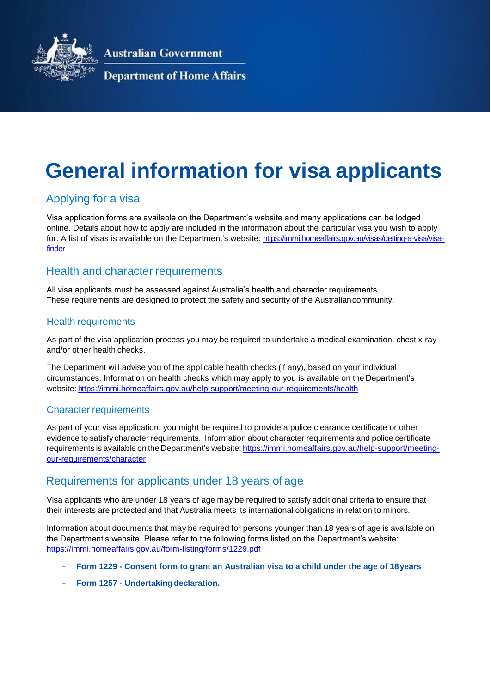

**Australian Government** 

#### **Department of Home Affairs**

# **General information for visa applicants**

## Applying for a visa

Visa application forms are available on the Department's website and many applications can be lodged online. Details about how to apply are included in the information about the particular visa you wish to apply for. A list of visas is available on the Department's website: [https://immi.homeaffairs.gov.au/visas/getting-a-visa/visa](https://immi.homeaffairs.gov.au/visas/getting-a-visa/visa-finder)[finder](https://immi.homeaffairs.gov.au/visas/getting-a-visa/visa-finder)

#### Health and character requirements

All visa applicants must be assessed against Australia's health and character requirements. These requirements are designed to protect the safety and security of the Australiancommunity.

#### Health requirements

As part of the visa application process you may be required to undertake a medical examination, chest x-ray and/or other health checks.

The Department will advise you of the applicable health checks (if any), based on your individual circumstances. Information on health checks which may apply to you is available on the Department's website: <https://immi.homeaffairs.gov.au/help-support/meeting-our-requirements/health>

#### Character requirements

As part of your visa application, you might be required to provide a police clearance certificate or other evidence to satisfy character requirements. Information about character requirements and police certificate requirements is available on the Department's website: https://immi.homeaffairs.gov.au/help-support/meetingour-requirements/character

#### Requirements for applicants under 18 years of age

Visa applicants who are under 18 years of age may be required to satisfy additional criteria to ensure that their interests are protected and that Australia meets its international obligations in relation to minors.

Information about documents that may be required for persons younger than 18 years of age is available on the Department's website. Please refer to the following forms listed on the Department's website: https://immi.homeaffairs.gov.au/form-listing/forms/1229.pdf

- **Form 1229 - Consent form to grant an Australian visa to a child under the age of 18years**
- **Form 1257 Undertaking declaration.**